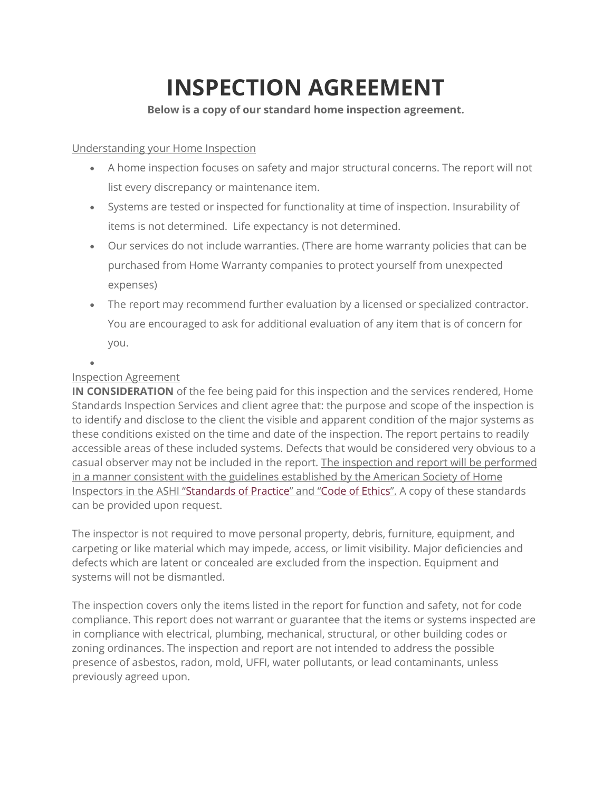## **INSPECTION AGREEMENT**

## **Below is a copy of our standard home inspection agreement.**

## Understanding your Home Inspection

- A home inspection focuses on safety and major structural concerns. The report will not list every discrepancy or maintenance item.
- Systems are tested or inspected for functionality at time of inspection. Insurability of items is not determined. Life expectancy is not determined.
- Our services do not include warranties. (There are home warranty policies that can be purchased from Home Warranty companies to protect yourself from unexpected expenses)
- The report may recommend further evaluation by a licensed or specialized contractor. You are encouraged to ask for additional evaluation of any item that is of concern for you.

## Inspection Agreement

•

**IN CONSIDERATION** of the fee being paid for this inspection and the services rendered, Home Standards Inspection Services and client agree that: the purpose and scope of the inspection is to identify and disclose to the client the visible and apparent condition of the major systems as these conditions existed on the time and date of the inspection. The report pertains to readily accessible areas of these included systems. Defects that would be considered very obvious to a casual observer may not be included in the report. The inspection and report will be performed in a manner consistent with the guidelines established by the American Society of Home Inspectors in the ASHI ["Standards](https://www.homeinspector.org/Resources/Standard-of-Practice) of Practice" and "Code of [Ethics"](https://www.homeinspector.org/Resources/Code-Of-Ethics). A copy of these standards can be provided upon request.

The inspector is not required to move personal property, debris, furniture, equipment, and carpeting or like material which may impede, access, or limit visibility. Major deficiencies and defects which are latent or concealed are excluded from the inspection. Equipment and systems will not be dismantled.

The inspection covers only the items listed in the report for function and safety, not for code compliance. This report does not warrant or guarantee that the items or systems inspected are in compliance with electrical, plumbing, mechanical, structural, or other building codes or zoning ordinances. The inspection and report are not intended to address the possible presence of asbestos, radon, mold, UFFI, water pollutants, or lead contaminants, unless previously agreed upon.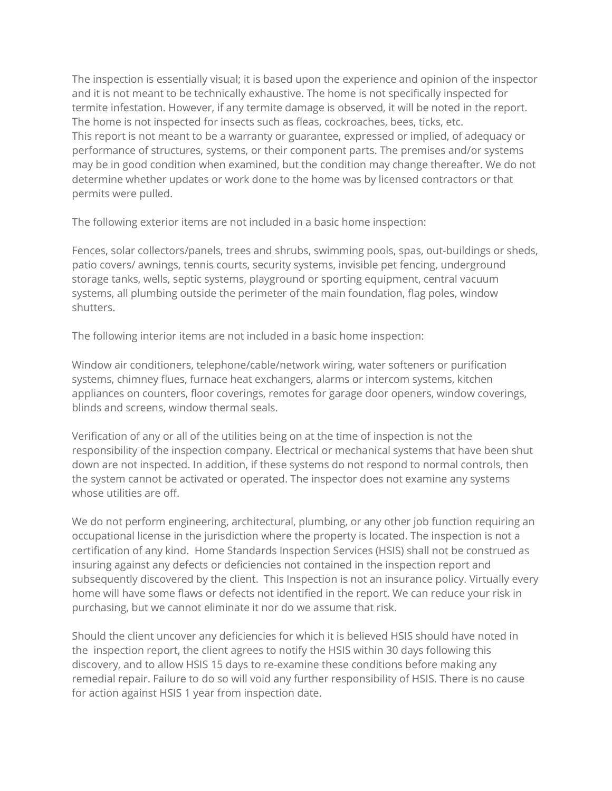The inspection is essentially visual; it is based upon the experience and opinion of the inspector and it is not meant to be technically exhaustive. The home is not specifically inspected for termite infestation. However, if any termite damage is observed, it will be noted in the report. The home is not inspected for insects such as fleas, cockroaches, bees, ticks, etc. This report is not meant to be a warranty or guarantee, expressed or implied, of adequacy or performance of structures, systems, or their component parts. The premises and/or systems may be in good condition when examined, but the condition may change thereafter. We do not determine whether updates or work done to the home was by licensed contractors or that permits were pulled.

The following exterior items are not included in a basic home inspection:

Fences, solar collectors/panels, trees and shrubs, swimming pools, spas, out-buildings or sheds, patio covers/ awnings, tennis courts, security systems, invisible pet fencing, underground storage tanks, wells, septic systems, playground or sporting equipment, central vacuum systems, all plumbing outside the perimeter of the main foundation, flag poles, window shutters.

The following interior items are not included in a basic home inspection:

Window air conditioners, telephone/cable/network wiring, water softeners or purification systems, chimney flues, furnace heat exchangers, alarms or intercom systems, kitchen appliances on counters, floor coverings, remotes for garage door openers, window coverings, blinds and screens, window thermal seals.

Verification of any or all of the utilities being on at the time of inspection is not the responsibility of the inspection company. Electrical or mechanical systems that have been shut down are not inspected. In addition, if these systems do not respond to normal controls, then the system cannot be activated or operated. The inspector does not examine any systems whose utilities are off.

We do not perform engineering, architectural, plumbing, or any other job function requiring an occupational license in the jurisdiction where the property is located. The inspection is not a certification of any kind. Home Standards Inspection Services (HSIS) shall not be construed as insuring against any defects or deficiencies not contained in the inspection report and subsequently discovered by the client. This Inspection is not an insurance policy. Virtually every home will have some flaws or defects not identified in the report. We can reduce your risk in purchasing, but we cannot eliminate it nor do we assume that risk.

Should the client uncover any deficiencies for which it is believed HSIS should have noted in the inspection report, the client agrees to notify the HSIS within 30 days following this discovery, and to allow HSIS 15 days to re-examine these conditions before making any remedial repair. Failure to do so will void any further responsibility of HSIS. There is no cause for action against HSIS 1 year from inspection date.